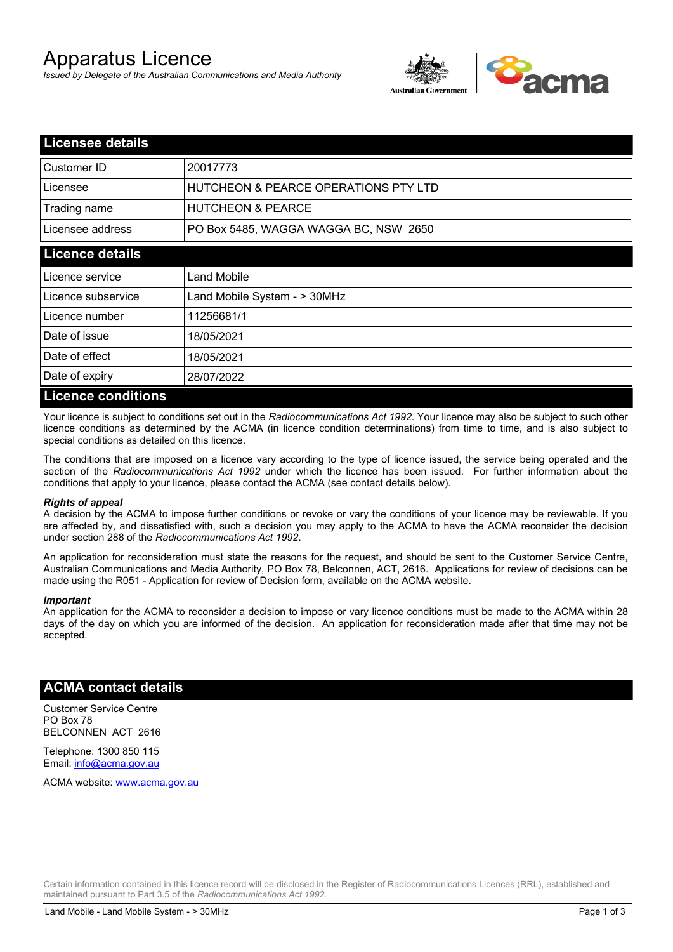# Apparatus Licence

*Issued by Delegate of the Australian Communications and Media Authority*



| <b>Licensee details</b>   |                                       |
|---------------------------|---------------------------------------|
| Customer ID               | 20017773                              |
| Licensee                  | HUTCHEON & PEARCE OPERATIONS PTY LTD  |
| Trading name              | <b>HUTCHEON &amp; PEARCE</b>          |
| Licensee address          | PO Box 5485, WAGGA WAGGA BC, NSW 2650 |
| <b>Licence details</b>    |                                       |
| Licence service           | Land Mobile                           |
| Licence subservice        | Land Mobile System - > 30MHz          |
| Licence number            | 11256681/1                            |
| Date of issue             | 18/05/2021                            |
| Date of effect            | 18/05/2021                            |
| Date of expiry            | 28/07/2022                            |
| <b>Licence conditions</b> |                                       |

Your licence is subject to conditions set out in the *Radiocommunications Act 1992*. Your licence may also be subject to such other licence conditions as determined by the ACMA (in licence condition determinations) from time to time, and is also subject to special conditions as detailed on this licence.

The conditions that are imposed on a licence vary according to the type of licence issued, the service being operated and the section of the *Radiocommunications Act 1992* under which the licence has been issued. For further information about the conditions that apply to your licence, please contact the ACMA (see contact details below).

#### *Rights of appeal*

A decision by the ACMA to impose further conditions or revoke or vary the conditions of your licence may be reviewable. If you are affected by, and dissatisfied with, such a decision you may apply to the ACMA to have the ACMA reconsider the decision under section 288 of the *Radiocommunications Act 1992*.

An application for reconsideration must state the reasons for the request, and should be sent to the Customer Service Centre, Australian Communications and Media Authority, PO Box 78, Belconnen, ACT, 2616. Applications for review of decisions can be made using the R051 - Application for review of Decision form, available on the ACMA website.

#### *Important*

An application for the ACMA to reconsider a decision to impose or vary licence conditions must be made to the ACMA within 28 days of the day on which you are informed of the decision. An application for reconsideration made after that time may not be accepted.

### **ACMA contact details**

Customer Service Centre PO Box 78 BELCONNEN ACT 2616

Telephone: 1300 850 115 Email: info@acma.gov.au

ACMA website: www.acma.gov.au

Certain information contained in this licence record will be disclosed in the Register of Radiocommunications Licences (RRL), established and maintained pursuant to Part 3.5 of the *Radiocommunications Act 1992.*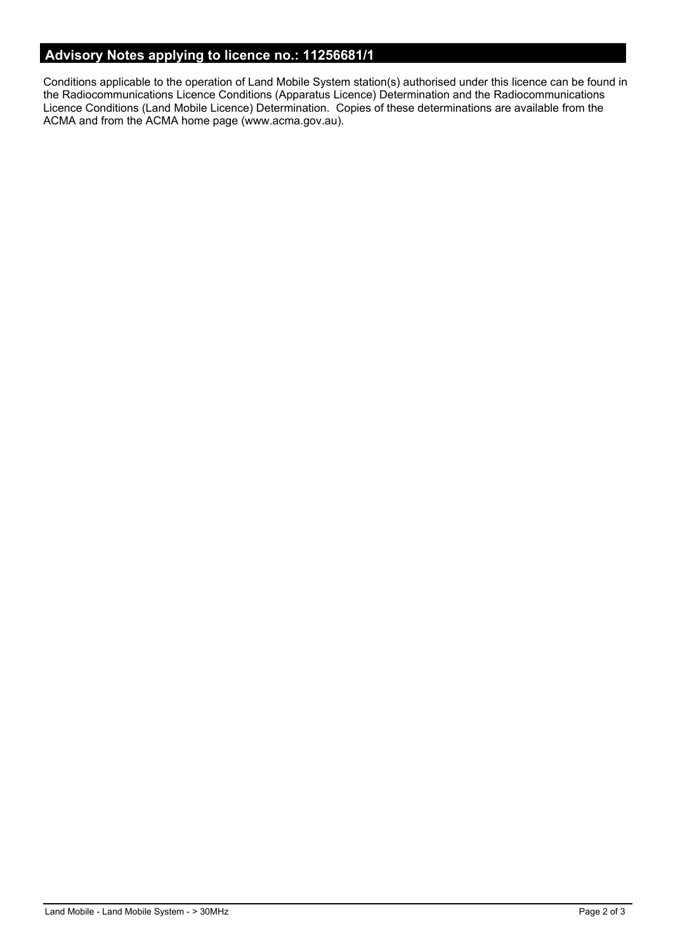# **Advisory Notes applying to licence no.: 11256681/1**

Conditions applicable to the operation of Land Mobile System station(s) authorised under this licence can be found in the Radiocommunications Licence Conditions (Apparatus Licence) Determination and the Radiocommunications Licence Conditions (Land Mobile Licence) Determination. Copies of these determinations are available from the ACMA and from the ACMA home page (www.acma.gov.au).